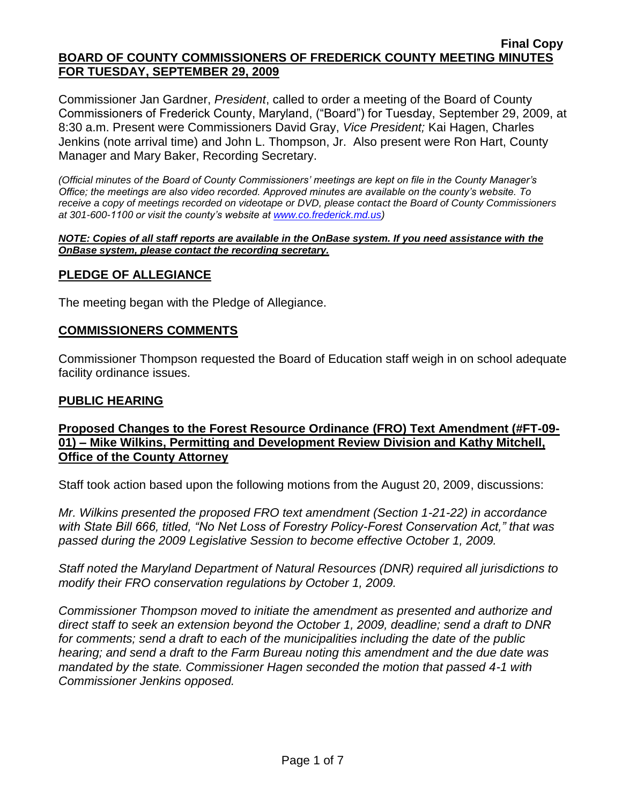Commissioner Jan Gardner, *President*, called to order a meeting of the Board of County Commissioners of Frederick County, Maryland, ("Board") for Tuesday, September 29, 2009, at 8:30 a.m. Present were Commissioners David Gray, *Vice President;* Kai Hagen, Charles Jenkins (note arrival time) and John L. Thompson, Jr. Also present were Ron Hart, County Manager and Mary Baker, Recording Secretary.

*(Official minutes of the Board of County Commissioners' meetings are kept on file in the County Manager's Office; the meetings are also video recorded. Approved minutes are available on the county's website. To receive a copy of meetings recorded on videotape or DVD, please contact the Board of County Commissioners at 301-600-1100 or visit the county's website at [www.co.frederick.md.us\)](http://www.co.frederick.md.us/)*

#### *NOTE: Copies of all staff reports are available in the OnBase system. If you need assistance with the OnBase system, please contact the recording secretary.*

### **PLEDGE OF ALLEGIANCE**

The meeting began with the Pledge of Allegiance.

### **COMMISSIONERS COMMENTS**

Commissioner Thompson requested the Board of Education staff weigh in on school adequate facility ordinance issues.

#### **PUBLIC HEARING**

### **Proposed Changes to the Forest Resource Ordinance (FRO) Text Amendment (#FT-09- 01) – Mike Wilkins, Permitting and Development Review Division and Kathy Mitchell, Office of the County Attorney**

Staff took action based upon the following motions from the August 20, 2009, discussions:

*Mr. Wilkins presented the proposed FRO text amendment (Section 1-21-22) in accordance with State Bill 666, titled, "No Net Loss of Forestry Policy-Forest Conservation Act," that was passed during the 2009 Legislative Session to become effective October 1, 2009.* 

*Staff noted the Maryland Department of Natural Resources (DNR) required all jurisdictions to modify their FRO conservation regulations by October 1, 2009.* 

*Commissioner Thompson moved to initiate the amendment as presented and authorize and direct staff to seek an extension beyond the October 1, 2009, deadline; send a draft to DNR for comments; send a draft to each of the municipalities including the date of the public hearing; and send a draft to the Farm Bureau noting this amendment and the due date was mandated by the state. Commissioner Hagen seconded the motion that passed 4-1 with Commissioner Jenkins opposed.*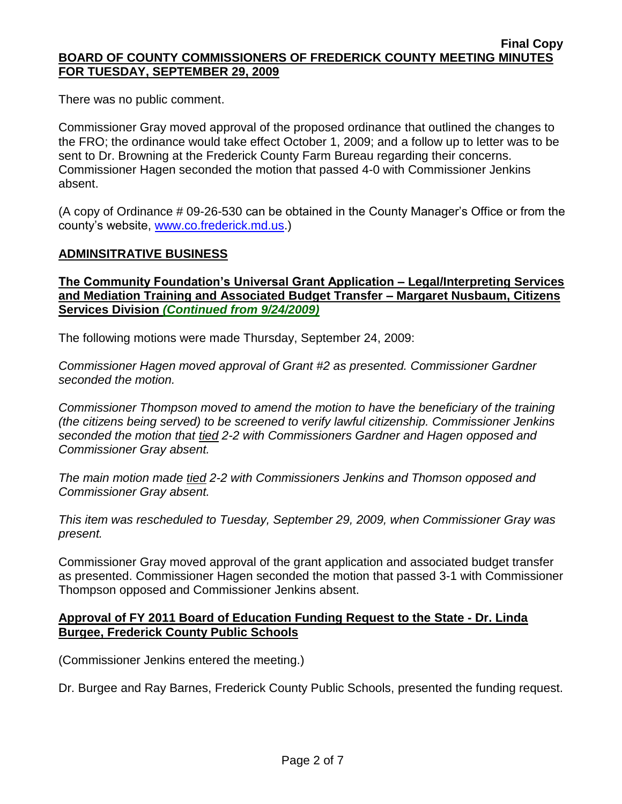There was no public comment.

Commissioner Gray moved approval of the proposed ordinance that outlined the changes to the FRO; the ordinance would take effect October 1, 2009; and a follow up to letter was to be sent to Dr. Browning at the Frederick County Farm Bureau regarding their concerns. Commissioner Hagen seconded the motion that passed 4-0 with Commissioner Jenkins absent.

(A copy of Ordinance # 09-26-530 can be obtained in the County Manager's Office or from the county's website, [www.co.frederick.md.us.](www.co.frederick.md.us))

### **ADMINSITRATIVE BUSINESS**

**The Community Foundation's Universal Grant Application – Legal/Interpreting Services and Mediation Training and Associated Budget Transfer – Margaret Nusbaum, Citizens Services Division** *(Continued from 9/24/2009)*

The following motions were made Thursday, September 24, 2009:

*Commissioner Hagen moved approval of Grant #2 as presented. Commissioner Gardner seconded the motion.*

*Commissioner Thompson moved to amend the motion to have the beneficiary of the training (the citizens being served) to be screened to verify lawful citizenship. Commissioner Jenkins seconded the motion that tied 2-2 with Commissioners Gardner and Hagen opposed and Commissioner Gray absent.* 

*The main motion made tied 2-2 with Commissioners Jenkins and Thomson opposed and Commissioner Gray absent.* 

*This item was rescheduled to Tuesday, September 29, 2009, when Commissioner Gray was present.*

Commissioner Gray moved approval of the grant application and associated budget transfer as presented. Commissioner Hagen seconded the motion that passed 3-1 with Commissioner Thompson opposed and Commissioner Jenkins absent.

### **Approval of FY 2011 Board of Education Funding Request to the State - Dr. Linda Burgee, Frederick County Public Schools**

(Commissioner Jenkins entered the meeting.)

Dr. Burgee and Ray Barnes, Frederick County Public Schools, presented the funding request.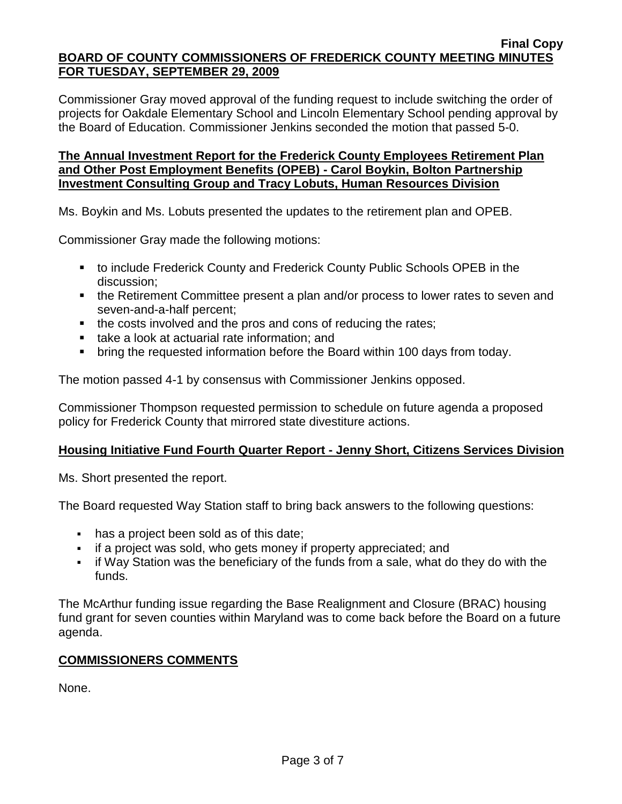Commissioner Gray moved approval of the funding request to include switching the order of projects for Oakdale Elementary School and Lincoln Elementary School pending approval by the Board of Education. Commissioner Jenkins seconded the motion that passed 5-0.

### **The Annual Investment Report for the Frederick County Employees Retirement Plan and Other Post Employment Benefits (OPEB) - Carol Boykin, Bolton Partnership Investment Consulting Group and Tracy Lobuts, Human Resources Division**

Ms. Boykin and Ms. Lobuts presented the updates to the retirement plan and OPEB.

Commissioner Gray made the following motions:

- to include Frederick County and Frederick County Public Schools OPEB in the discussion;
- the Retirement Committee present a plan and/or process to lower rates to seven and seven-and-a-half percent;
- the costs involved and the pros and cons of reducing the rates;
- **take a look at actuarial rate information; and**
- bring the requested information before the Board within 100 days from today.

The motion passed 4-1 by consensus with Commissioner Jenkins opposed.

Commissioner Thompson requested permission to schedule on future agenda a proposed policy for Frederick County that mirrored state divestiture actions.

# **Housing Initiative Fund Fourth Quarter Report - Jenny Short, Citizens Services Division**

Ms. Short presented the report.

The Board requested Way Station staff to bring back answers to the following questions:

- has a project been sold as of this date;
- if a project was sold, who gets money if property appreciated; and
- if Way Station was the beneficiary of the funds from a sale, what do they do with the funds.

The McArthur funding issue regarding the Base Realignment and Closure (BRAC) housing fund grant for seven counties within Maryland was to come back before the Board on a future agenda.

### **COMMISSIONERS COMMENTS**

None.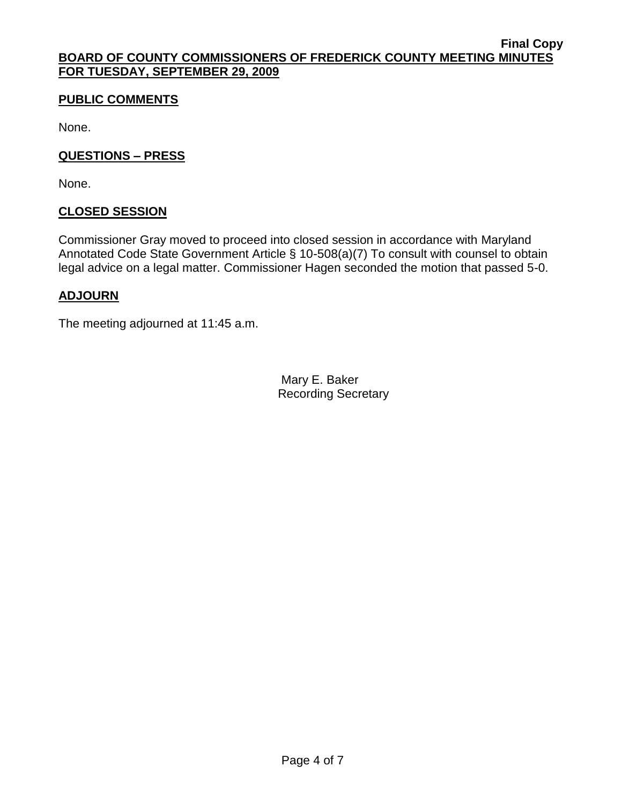# **PUBLIC COMMENTS**

None.

### **QUESTIONS – PRESS**

None.

### **CLOSED SESSION**

Commissioner Gray moved to proceed into closed session in accordance with Maryland Annotated Code State Government Article § 10-508(a)(7) To consult with counsel to obtain legal advice on a legal matter. Commissioner Hagen seconded the motion that passed 5-0.

### **ADJOURN**

The meeting adjourned at 11:45 a.m.

Mary E. Baker Recording Secretary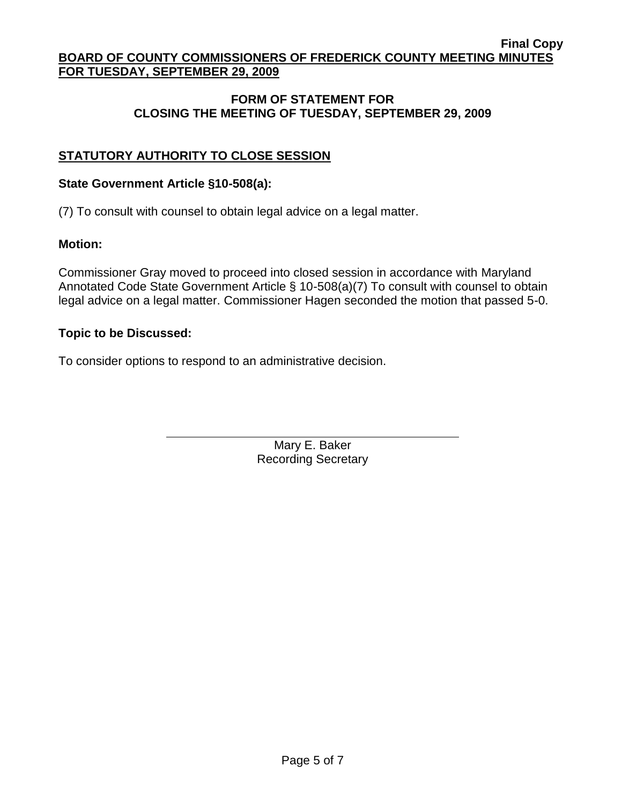### **FORM OF STATEMENT FOR CLOSING THE MEETING OF TUESDAY, SEPTEMBER 29, 2009**

# **STATUTORY AUTHORITY TO CLOSE SESSION**

### **State Government Article §10-508(a):**

(7) To consult with counsel to obtain legal advice on a legal matter.

### **Motion:**

Commissioner Gray moved to proceed into closed session in accordance with Maryland Annotated Code State Government Article § 10-508(a)(7) To consult with counsel to obtain legal advice on a legal matter. Commissioner Hagen seconded the motion that passed 5-0.

### **Topic to be Discussed:**

To consider options to respond to an administrative decision.

Mary E. Baker Recording Secretary